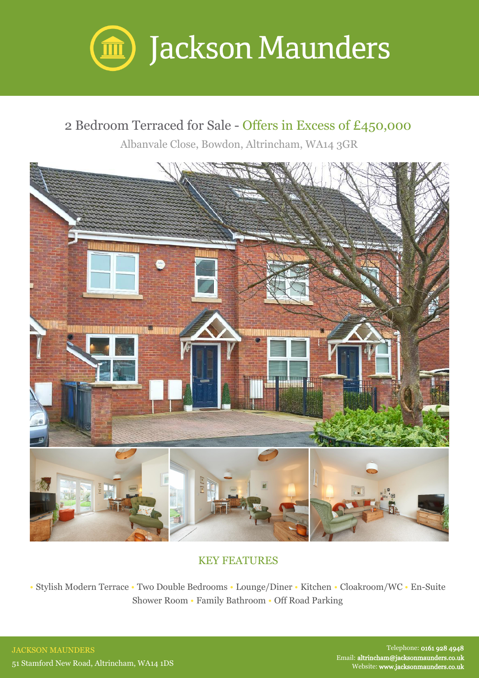

## 2 Bedroom Terraced for Sale - Offers in Excess of £450,000

Albanvale Close, Bowdon, Altrincham, WA14 3GR



## KEY FEATURES

• Stylish Modern Terrace • Two Double Bedrooms • Lounge/Diner • Kitchen • Cloakroom/WC • En-Suite Shower Room • Family Bathroom • Off Road Parking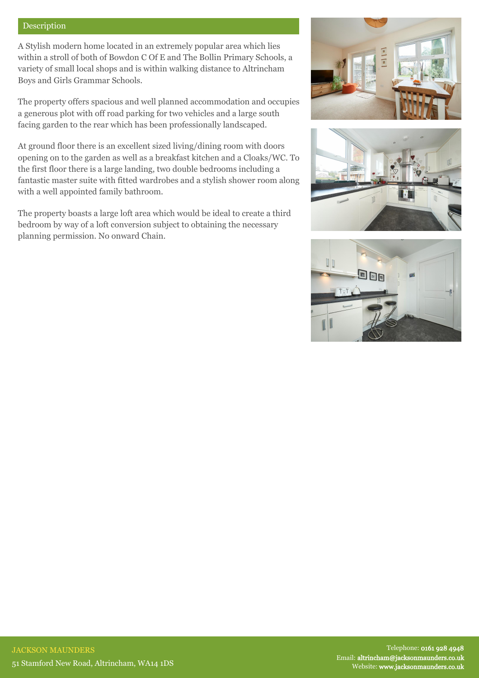## Description

A Stylish modern home located in an extremely popular area which lies within a stroll of both of Bowdon C Of E and The Bollin Primary Schools, a variety of small local shops and is within walking distance to Altrincham Boys and Girls Grammar Schools.

The property offers spacious and well planned accommodation and occupies a generous plot with off road parking for two vehicles and a large south facing garden to the rear which has been professionally landscaped.

At ground floor there is an excellent sized living/dining room with doors opening on to the garden as well as a breakfast kitchen and a Cloaks/WC. To the first floor there is a large landing, two double bedrooms including a fantastic master suite with fitted wardrobes and a stylish shower room along with a well appointed family bathroom.

The property boasts a large loft area which would be ideal to create a third bedroom by way of a loft conversion subject to obtaining the necessary planning permission. No onward Chain.